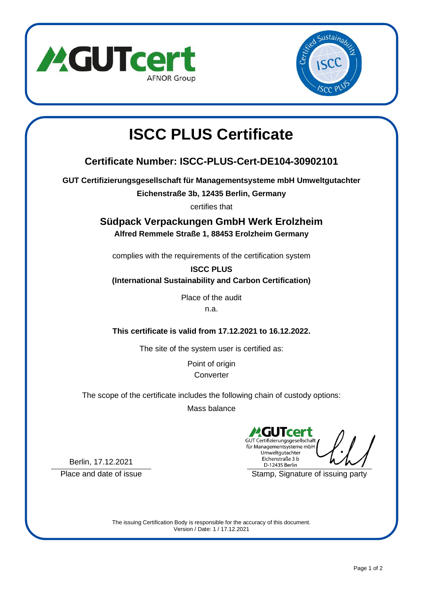



## **ISCC PLUS Certificate**

## **Certificate Number: ISCC-PLUS-Cert-DE104-30902101**

**GUT Certifizierungsgesellschaft für Managementsysteme mbH Umweltgutachter**

**Eichenstraße 3b, 12435 Berlin, Germany**

certifies that

**Südpack Verpackungen GmbH Werk Erolzheim Alfred Remmele Straße 1, 88453 Erolzheim Germany**

complies with the requirements of the certification system

**ISCC PLUS (International Sustainability and Carbon Certification)**

> Place of the audit n.a.

**This certificate is valid from 17.12.2021 to 16.12.2022.**

The site of the system user is certified as:

Point of origin **Converter** 

The scope of the certificate includes the following chain of custody options:

Mass balance

cer GUT Certifizierungsgesellschaft für Managementsysteme mbH Umweltgutachter Eichenstraße 3 b D-12435 Berlin

Place and date of issue Stamp, Signature of issuing party

Berlin, 17.12.2021

The issuing Certification Body is responsible for the accuracy of this document. Version / Date: 1 / 17.12.2021